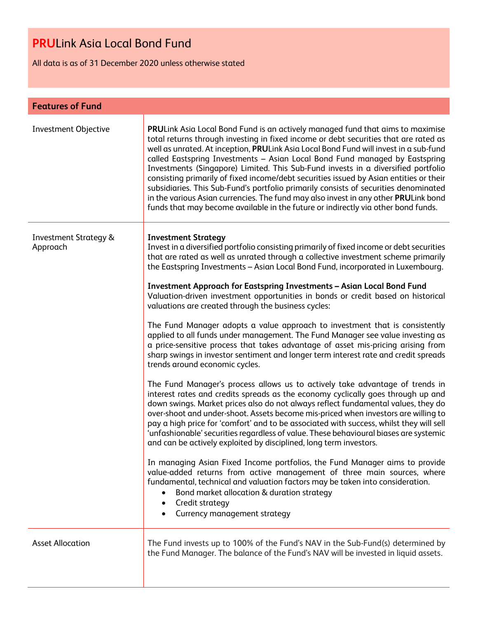All data is as of 31 December 2020 unless otherwise stated

| <b>Features of Fund</b>                      |                                                                                                                                                                                                                                                                                                                                                                                                                                                                                                                                                                                                                                                                                                                                                                                                   |  |  |  |
|----------------------------------------------|---------------------------------------------------------------------------------------------------------------------------------------------------------------------------------------------------------------------------------------------------------------------------------------------------------------------------------------------------------------------------------------------------------------------------------------------------------------------------------------------------------------------------------------------------------------------------------------------------------------------------------------------------------------------------------------------------------------------------------------------------------------------------------------------------|--|--|--|
| <b>Investment Objective</b>                  | PRULink Asia Local Bond Fund is an actively managed fund that aims to maximise<br>total returns through investing in fixed income or debt securities that are rated as<br>well as unrated. At inception, PRULink Asia Local Bond Fund will invest in a sub-fund<br>called Eastspring Investments - Asian Local Bond Fund managed by Eastspring<br>Investments (Singapore) Limited. This Sub-Fund invests in a diversified portfolio<br>consisting primarily of fixed income/debt securities issued by Asian entities or their<br>subsidiaries. This Sub-Fund's portfolio primarily consists of securities denominated<br>in the various Asian currencies. The fund may also invest in any other PRULink bond<br>funds that may become available in the future or indirectly via other bond funds. |  |  |  |
| <b>Investment Strategy &amp;</b><br>Approach | <b>Investment Strategy</b><br>Invest in a diversified portfolio consisting primarily of fixed income or debt securities<br>that are rated as well as unrated through a collective investment scheme primarily<br>the Eastspring Investments - Asian Local Bond Fund, incorporated in Luxembourg.                                                                                                                                                                                                                                                                                                                                                                                                                                                                                                  |  |  |  |
|                                              | Investment Approach for Eastspring Investments - Asian Local Bond Fund<br>Valuation-driven investment opportunities in bonds or credit based on historical<br>valuations are created through the business cycles:                                                                                                                                                                                                                                                                                                                                                                                                                                                                                                                                                                                 |  |  |  |
|                                              | The Fund Manager adopts a value approach to investment that is consistently<br>applied to all funds under management. The Fund Manager see value investing as<br>a price-sensitive process that takes advantage of asset mis-pricing arising from<br>sharp swings in investor sentiment and longer term interest rate and credit spreads<br>trends around economic cycles.                                                                                                                                                                                                                                                                                                                                                                                                                        |  |  |  |
|                                              | The Fund Manager's process allows us to actively take advantage of trends in<br>interest rates and credits spreads as the economy cyclically goes through up and<br>down swings. Market prices also do not always reflect fundamental values, they do<br>over-shoot and under-shoot. Assets become mis-priced when investors are willing to<br>pay a high price for 'comfort' and to be associated with success, whilst they will sell<br>'unfashionable' securities regardless of value. These behavioural biases are systemic<br>and can be actively exploited by disciplined, long term investors.                                                                                                                                                                                             |  |  |  |
|                                              | In managing Asian Fixed Income portfolios, the Fund Manager aims to provide<br>value-added returns from active management of three main sources, where<br>fundamental, technical and valuation factors may be taken into consideration.<br>Bond market allocation & duration strategy<br>Credit strategy<br>Currency management strategy                                                                                                                                                                                                                                                                                                                                                                                                                                                          |  |  |  |
| <b>Asset Allocation</b>                      | The Fund invests up to 100% of the Fund's NAV in the Sub-Fund(s) determined by<br>the Fund Manager. The balance of the Fund's NAV will be invested in liquid assets.                                                                                                                                                                                                                                                                                                                                                                                                                                                                                                                                                                                                                              |  |  |  |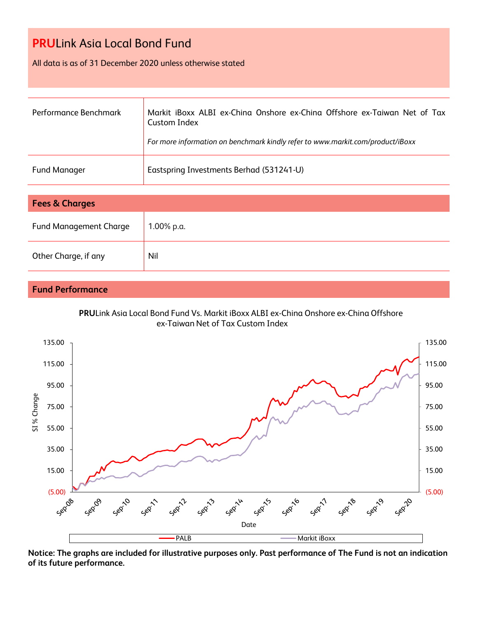#### All data is as of 31 December 2020 unless otherwise stated

| Performance Benchmark | Markit iBoxx ALBI ex-China Onshore ex-China Offshore ex-Taiwan Net of Tax<br>Custom Index<br>For more information on benchmark kindly refer to www.markit.com/product/iBoxx |
|-----------------------|-----------------------------------------------------------------------------------------------------------------------------------------------------------------------------|
| <b>Fund Manager</b>   | Eastspring Investments Berhad (531241-U)                                                                                                                                    |

| <b>Fees &amp; Charges</b>     |            |  |  |
|-------------------------------|------------|--|--|
| <b>Fund Management Charge</b> | 1.00% p.a. |  |  |
| Other Charge, if any          | Nil        |  |  |

### **Fund Performance**





**Notice: The graphs are included for illustrative purposes only. Past performance of The Fund is not an indication of its future performance.**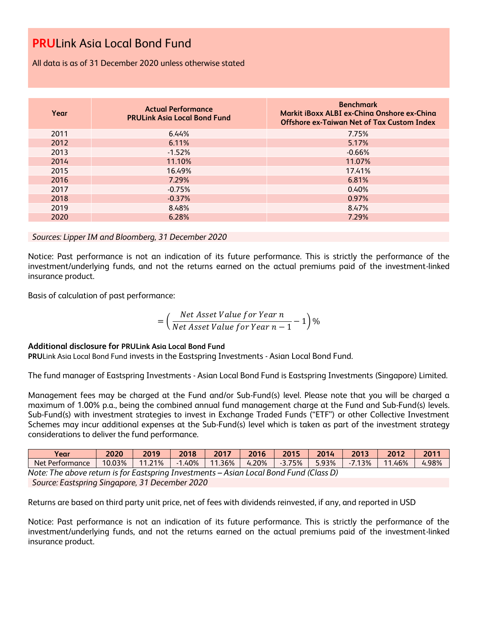All data is as of 31 December 2020 unless otherwise stated

| Year | <b>Actual Performance</b><br><b>PRULink Asia Local Bond Fund</b> | <b>Benchmark</b><br>Markit iBoxx ALBI ex-China Onshore ex-China<br><b>Offshore ex-Taiwan Net of Tax Custom Index</b> |
|------|------------------------------------------------------------------|----------------------------------------------------------------------------------------------------------------------|
| 2011 | 6.44%                                                            | 7.75%                                                                                                                |
| 2012 | 6.11%                                                            | 5.17%                                                                                                                |
| 2013 | $-1.52%$                                                         | $-0.66%$                                                                                                             |
| 2014 | 11.10%                                                           | 11.07%                                                                                                               |
| 2015 | 16.49%                                                           | 17.41%                                                                                                               |
| 2016 | 7.29%                                                            | 6.81%                                                                                                                |
| 2017 | $-0.75%$                                                         | 0.40%                                                                                                                |
| 2018 | $-0.37%$                                                         | 0.97%                                                                                                                |
| 2019 | 8.48%                                                            | 8.47%                                                                                                                |
| 2020 | 6.28%                                                            | 7.29%                                                                                                                |

#### *Sources: Lipper IM and Bloomberg, 31 December 2020*

Notice: Past performance is not an indication of its future performance. This is strictly the performance of the investment/underlying funds, and not the returns earned on the actual premiums paid of the investment-linked insurance product.

Basis of calculation of past performance:

$$
= \left(\frac{Net\text{ Asset Value for Year }n}{Net\text{ Asset Value for Year }n-1}-1\right)\%
$$

#### **Additional disclosure for PRULink Asia Local Bond Fund**

**PRU**Link Asia Local Bond Fund invests in the Eastspring Investments - Asian Local Bond Fund.

The fund manager of Eastspring Investments - Asian Local Bond Fund is Eastspring Investments (Singapore) Limited.

Management fees may be charged at the Fund and/or Sub-Fund(s) level. Please note that you will be charged a maximum of 1.00% p.a., being the combined annual fund management charge at the Fund and Sub-Fund(s) levels. Sub-Fund(s) with investment strategies to invest in Exchange Traded Funds ("ETF") or other Collective Investment Schemes may incur additional expenses at the Sub-Fund(s) level which is taken as part of the investment strategy considerations to deliver the fund performance.

| Year                                                                                   | 2020   | 2019   | 2018      | 2017      | 2016     | 2015      | 2014  | 2013      | 2012   | 2011  |
|----------------------------------------------------------------------------------------|--------|--------|-----------|-----------|----------|-----------|-------|-----------|--------|-------|
| Net Performance                                                                        | 10.03% | 11.21% | $-1.40\%$ | $11.36\%$ | $4.20\%$ | $-3.75\%$ | 5.93% | $-7.13\%$ | 11.46% | 4.98% |
| Note: The above return is for Eastspring Investments - Asian Local Bond Fund (Class D) |        |        |           |           |          |           |       |           |        |       |

*Source: Eastspring Singapore, 31 December 2020*

Returns are based on third party unit price, net of fees with dividends reinvested, if any, and reported in USD

Notice: Past performance is not an indication of its future performance. This is strictly the performance of the investment/underlying funds, and not the returns earned on the actual premiums paid of the investment-linked insurance product.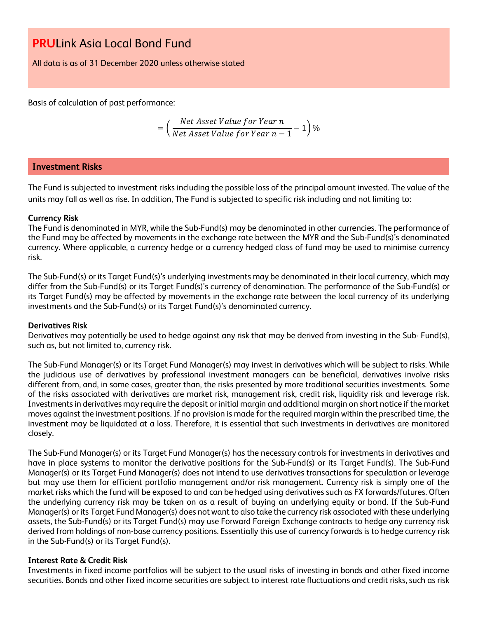All data is as of 31 December 2020 unless otherwise stated

Basis of calculation of past performance:

$$
= \left(\frac{Net\text{ Asset Value for Year }n}{Net\text{ Asset Value for Year }n-1}-1\right)\%
$$

#### **Investment Risks**

The Fund is subjected to investment risks including the possible loss of the principal amount invested. The value of the units may fall as well as rise. In addition, The Fund is subjected to specific risk including and not limiting to:

#### **Currency Risk**

The Fund is denominated in MYR, while the Sub-Fund(s) may be denominated in other currencies. The performance of the Fund may be affected by movements in the exchange rate between the MYR and the Sub-Fund(s)'s denominated currency. Where applicable, a currency hedge or a currency hedged class of fund may be used to minimise currency risk.

The Sub-Fund(s) or its Target Fund(s)'s underlying investments may be denominated in their local currency, which may differ from the Sub-Fund(s) or its Target Fund(s)'s currency of denomination. The performance of the Sub-Fund(s) or its Target Fund(s) may be affected by movements in the exchange rate between the local currency of its underlying investments and the Sub-Fund(s) or its Target Fund(s)'s denominated currency.

#### **Derivatives Risk**

Derivatives may potentially be used to hedge against any risk that may be derived from investing in the Sub- Fund(s), such as, but not limited to, currency risk.

The Sub-Fund Manager(s) or its Target Fund Manager(s) may invest in derivatives which will be subject to risks. While the judicious use of derivatives by professional investment managers can be beneficial, derivatives involve risks different from, and, in some cases, greater than, the risks presented by more traditional securities investments. Some of the risks associated with derivatives are market risk, management risk, credit risk, liquidity risk and leverage risk. Investments in derivatives may require the deposit or initial margin and additional margin on short notice if the market moves against the investment positions. If no provision is made for the required margin within the prescribed time, the investment may be liquidated at a loss. Therefore, it is essential that such investments in derivatives are monitored closely.

The Sub-Fund Manager(s) or its Target Fund Manager(s) has the necessary controls for investments in derivatives and have in place systems to monitor the derivative positions for the Sub-Fund(s) or its Target Fund(s). The Sub-Fund Manager(s) or its Target Fund Manager(s) does not intend to use derivatives transactions for speculation or leverage but may use them for efficient portfolio management and/or risk management. Currency risk is simply one of the market risks which the fund will be exposed to and can be hedged using derivatives such as FX forwards/futures. Often the underlying currency risk may be taken on as a result of buying an underlying equity or bond. If the Sub-Fund Manager(s) or its Target Fund Manager(s) does not want to also take the currency risk associated with these underlying assets, the Sub-Fund(s) or its Target Fund(s) may use Forward Foreign Exchange contracts to hedge any currency risk derived from holdings of non-base currency positions. Essentially this use of currency forwards is to hedge currency risk in the Sub-Fund(s) or its Target Fund(s).

#### **Interest Rate & Credit Risk**

Investments in fixed income portfolios will be subject to the usual risks of investing in bonds and other fixed income securities. Bonds and other fixed income securities are subject to interest rate fluctuations and credit risks, such as risk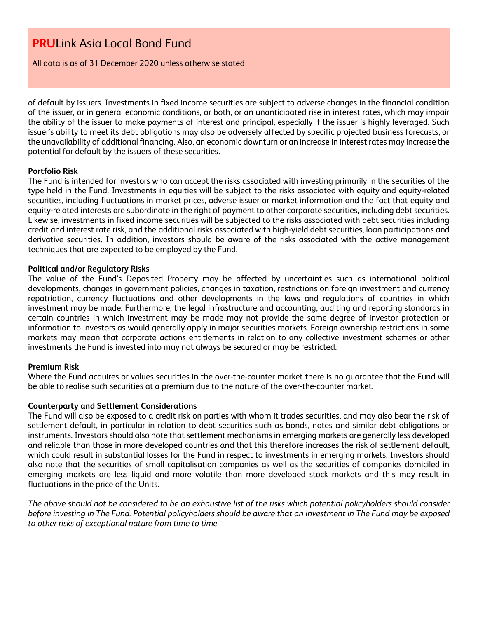All data is as of 31 December 2020 unless otherwise stated

of default by issuers. Investments in fixed income securities are subject to adverse changes in the financial condition of the issuer, or in general economic conditions, or both, or an unanticipated rise in interest rates, which may impair the ability of the issuer to make payments of interest and principal, especially if the issuer is highly leveraged. Such issuer's ability to meet its debt obligations may also be adversely affected by specific projected business forecasts, or the unavailability of additional financing. Also, an economic downturn or an increase in interest rates may increase the potential for default by the issuers of these securities.

#### **Portfolio Risk**

The Fund is intended for investors who can accept the risks associated with investing primarily in the securities of the type held in the Fund. Investments in equities will be subject to the risks associated with equity and equity-related securities, including fluctuations in market prices, adverse issuer or market information and the fact that equity and equity-related interests are subordinate in the right of payment to other corporate securities, including debt securities. Likewise, investments in fixed income securities will be subjected to the risks associated with debt securities including credit and interest rate risk, and the additional risks associated with high-yield debt securities, loan participations and derivative securities. In addition, investors should be aware of the risks associated with the active management techniques that are expected to be employed by the Fund.

#### **Political and/or Regulatory Risks**

The value of the Fund's Deposited Property may be affected by uncertainties such as international political developments, changes in government policies, changes in taxation, restrictions on foreign investment and currency repatriation, currency fluctuations and other developments in the laws and regulations of countries in which investment may be made. Furthermore, the legal infrastructure and accounting, auditing and reporting standards in certain countries in which investment may be made may not provide the same degree of investor protection or information to investors as would generally apply in major securities markets. Foreign ownership restrictions in some markets may mean that corporate actions entitlements in relation to any collective investment schemes or other investments the Fund is invested into may not always be secured or may be restricted.

#### **Premium Risk**

Where the Fund acquires or values securities in the over-the-counter market there is no guarantee that the Fund will be able to realise such securities at a premium due to the nature of the over-the-counter market.

#### **Counterparty and Settlement Considerations**

The Fund will also be exposed to a credit risk on parties with whom it trades securities, and may also bear the risk of settlement default, in particular in relation to debt securities such as bonds, notes and similar debt obligations or instruments. Investors should also note that settlement mechanisms in emerging markets are generally less developed and reliable than those in more developed countries and that this therefore increases the risk of settlement default, which could result in substantial losses for the Fund in respect to investments in emerging markets. Investors should also note that the securities of small capitalisation companies as well as the securities of companies domiciled in emerging markets are less liquid and more volatile than more developed stock markets and this may result in fluctuations in the price of the Units.

*The above should not be considered to be an exhaustive list of the risks which potential policyholders should consider before investing in The Fund. Potential policyholders should be aware that an investment in The Fund may be exposed to other risks of exceptional nature from time to time.*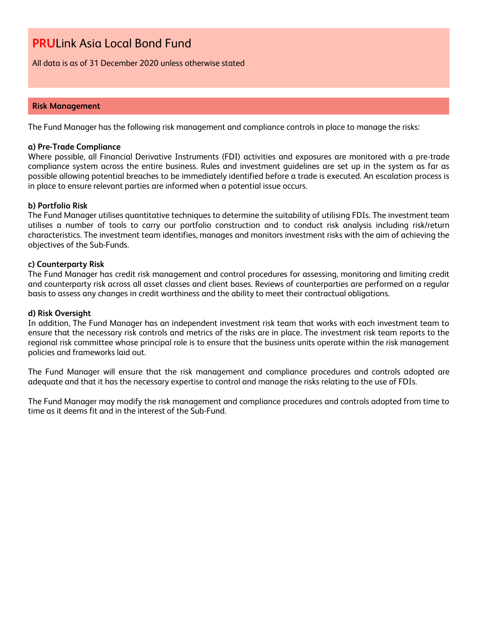All data is as of 31 December 2020 unless otherwise stated

#### **Risk Management**

The Fund Manager has the following risk management and compliance controls in place to manage the risks:

#### **a) Pre-Trade Compliance**

Where possible, all Financial Derivative Instruments (FDI) activities and exposures are monitored with a pre-trade compliance system across the entire business. Rules and investment guidelines are set up in the system as far as possible allowing potential breaches to be immediately identified before a trade is executed. An escalation process is in place to ensure relevant parties are informed when a potential issue occurs.

#### **b) Portfolio Risk**

The Fund Manager utilises quantitative techniques to determine the suitability of utilising FDIs. The investment team utilises a number of tools to carry our portfolio construction and to conduct risk analysis including risk/return characteristics. The investment team identifies, manages and monitors investment risks with the aim of achieving the objectives of the Sub-Funds.

#### **c) Counterparty Risk**

The Fund Manager has credit risk management and control procedures for assessing, monitoring and limiting credit and counterparty risk across all asset classes and client bases. Reviews of counterparties are performed on a regular basis to assess any changes in credit worthiness and the ability to meet their contractual obligations.

#### **d) Risk Oversight**

In addition, The Fund Manager has an independent investment risk team that works with each investment team to ensure that the necessary risk controls and metrics of the risks are in place. The investment risk team reports to the regional risk committee whose principal role is to ensure that the business units operate within the risk management policies and frameworks laid out.

The Fund Manager will ensure that the risk management and compliance procedures and controls adopted are adequate and that it has the necessary expertise to control and manage the risks relating to the use of FDIs.

The Fund Manager may modify the risk management and compliance procedures and controls adopted from time to time as it deems fit and in the interest of the Sub-Fund.